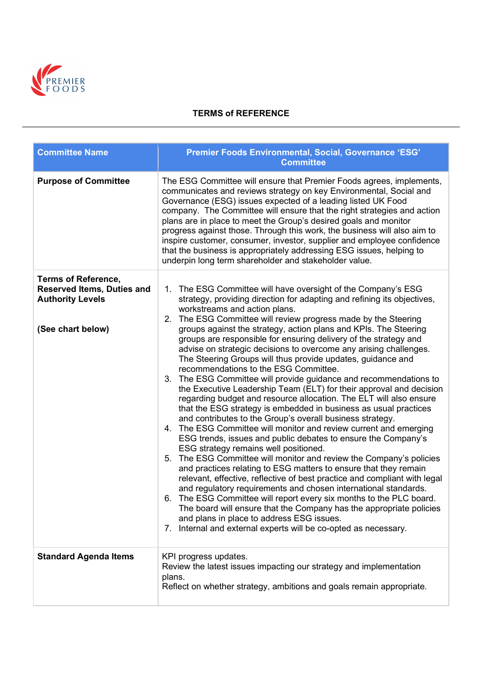

## TERMS of REFERENCE

| <b>Committee Name</b>                                                                                           | Premier Foods Environmental, Social, Governance 'ESG'<br><b>Committee</b>                                                                                                                                                                                                                                                                                                                                                                                                                                                                                                                                                                                                                                                                                                                                                                                                                                                                                                                                                                                                                                                                                                                                                                                                                                                                                                                                                                                                                                                                                                                                                                                         |
|-----------------------------------------------------------------------------------------------------------------|-------------------------------------------------------------------------------------------------------------------------------------------------------------------------------------------------------------------------------------------------------------------------------------------------------------------------------------------------------------------------------------------------------------------------------------------------------------------------------------------------------------------------------------------------------------------------------------------------------------------------------------------------------------------------------------------------------------------------------------------------------------------------------------------------------------------------------------------------------------------------------------------------------------------------------------------------------------------------------------------------------------------------------------------------------------------------------------------------------------------------------------------------------------------------------------------------------------------------------------------------------------------------------------------------------------------------------------------------------------------------------------------------------------------------------------------------------------------------------------------------------------------------------------------------------------------------------------------------------------------------------------------------------------------|
| <b>Purpose of Committee</b>                                                                                     | The ESG Committee will ensure that Premier Foods agrees, implements,<br>communicates and reviews strategy on key Environmental, Social and<br>Governance (ESG) issues expected of a leading listed UK Food<br>company. The Committee will ensure that the right strategies and action<br>plans are in place to meet the Group's desired goals and monitor<br>progress against those. Through this work, the business will also aim to<br>inspire customer, consumer, investor, supplier and employee confidence<br>that the business is appropriately addressing ESG issues, helping to<br>underpin long term shareholder and stakeholder value.                                                                                                                                                                                                                                                                                                                                                                                                                                                                                                                                                                                                                                                                                                                                                                                                                                                                                                                                                                                                                  |
| <b>Terms of Reference,</b><br><b>Reserved Items, Duties and</b><br><b>Authority Levels</b><br>(See chart below) | The ESG Committee will have oversight of the Company's ESG<br>1.<br>strategy, providing direction for adapting and refining its objectives,<br>workstreams and action plans.<br>2. The ESG Committee will review progress made by the Steering<br>groups against the strategy, action plans and KPIs. The Steering<br>groups are responsible for ensuring delivery of the strategy and<br>advise on strategic decisions to overcome any arising challenges.<br>The Steering Groups will thus provide updates, guidance and<br>recommendations to the ESG Committee.<br>3. The ESG Committee will provide guidance and recommendations to<br>the Executive Leadership Team (ELT) for their approval and decision<br>regarding budget and resource allocation. The ELT will also ensure<br>that the ESG strategy is embedded in business as usual practices<br>and contributes to the Group's overall business strategy.<br>4. The ESG Committee will monitor and review current and emerging<br>ESG trends, issues and public debates to ensure the Company's<br>ESG strategy remains well positioned.<br>The ESG Committee will monitor and review the Company's policies<br>5.<br>and practices relating to ESG matters to ensure that they remain<br>relevant, effective, reflective of best practice and compliant with legal<br>and regulatory requirements and chosen international standards.<br>6. The ESG Committee will report every six months to the PLC board.<br>The board will ensure that the Company has the appropriate policies<br>and plans in place to address ESG issues.<br>7. Internal and external experts will be co-opted as necessary. |
| <b>Standard Agenda Items</b>                                                                                    | KPI progress updates.<br>Review the latest issues impacting our strategy and implementation<br>plans.<br>Reflect on whether strategy, ambitions and goals remain appropriate.                                                                                                                                                                                                                                                                                                                                                                                                                                                                                                                                                                                                                                                                                                                                                                                                                                                                                                                                                                                                                                                                                                                                                                                                                                                                                                                                                                                                                                                                                     |